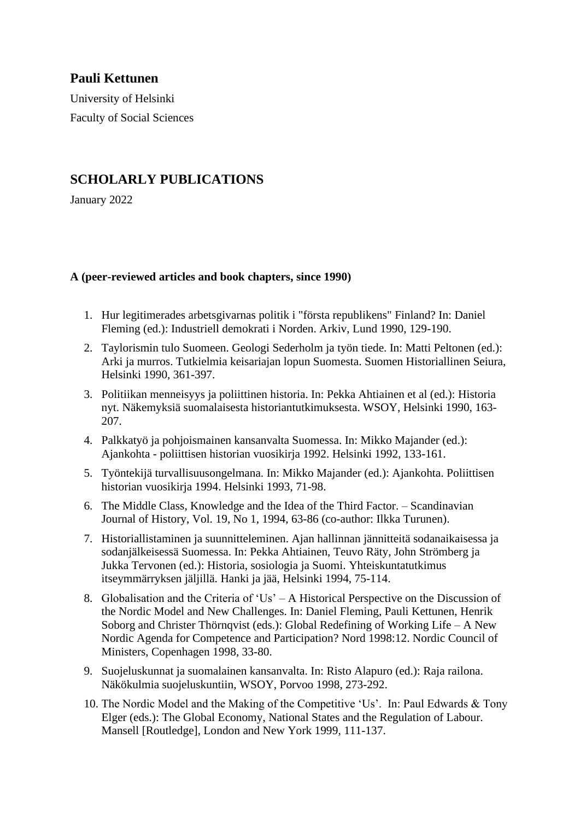# **Pauli Kettunen**

University of Helsinki Faculty of Social Sciences

## **SCHOLARLY PUBLICATIONS**

January 2022

### **A (peer-reviewed articles and book chapters, since 1990)**

- 1. Hur legitimerades arbetsgivarnas politik i "första republikens" Finland? In: Daniel Fleming (ed.): Industriell demokrati i Norden. Arkiv, Lund 1990, 129-190.
- 2. Taylorismin tulo Suomeen. Geologi Sederholm ja työn tiede. In: Matti Peltonen (ed.): Arki ja murros. Tutkielmia keisariajan lopun Suomesta. Suomen Historiallinen Seiura, Helsinki 1990, 361-397.
- 3. Politiikan menneisyys ja poliittinen historia. In: Pekka Ahtiainen et al (ed.): Historia nyt. Näkemyksiä suomalaisesta historiantutkimuksesta. WSOY, Helsinki 1990, 163- 207.
- 4. Palkkatyö ja pohjoismainen kansanvalta Suomessa. In: Mikko Majander (ed.): Ajankohta - poliittisen historian vuosikirja 1992. Helsinki 1992, 133-161.
- 5. Työntekijä turvallisuusongelmana. In: Mikko Majander (ed.): Ajankohta. Poliittisen historian vuosikirja 1994. Helsinki 1993, 71-98.
- 6. The Middle Class, Knowledge and the Idea of the Third Factor. Scandinavian Journal of History, Vol. 19, No 1, 1994, 63-86 (co-author: Ilkka Turunen).
- 7. Historiallistaminen ja suunnitteleminen. Ajan hallinnan jännitteitä sodanaikaisessa ja sodanjälkeisessä Suomessa. In: Pekka Ahtiainen, Teuvo Räty, John Strömberg ja Jukka Tervonen (ed.): Historia, sosiologia ja Suomi. Yhteiskuntatutkimus itseymmärryksen jäljillä. Hanki ja jää, Helsinki 1994, 75-114.
- 8. Globalisation and the Criteria of 'Us' A Historical Perspective on the Discussion of the Nordic Model and New Challenges. In: Daniel Fleming, Pauli Kettunen, Henrik Soborg and Christer Thörnqvist (eds.): Global Redefining of Working Life – A New Nordic Agenda for Competence and Participation? Nord 1998:12. Nordic Council of Ministers, Copenhagen 1998, 33-80.
- 9. Suojeluskunnat ja suomalainen kansanvalta. In: Risto Alapuro (ed.): Raja railona. Näkökulmia suojeluskuntiin, WSOY, Porvoo 1998, 273-292.
- 10. The Nordic Model and the Making of the Competitive 'Us'. In: Paul Edwards & Tony Elger (eds.): The Global Economy, National States and the Regulation of Labour. Mansell [Routledge], London and New York 1999, 111-137.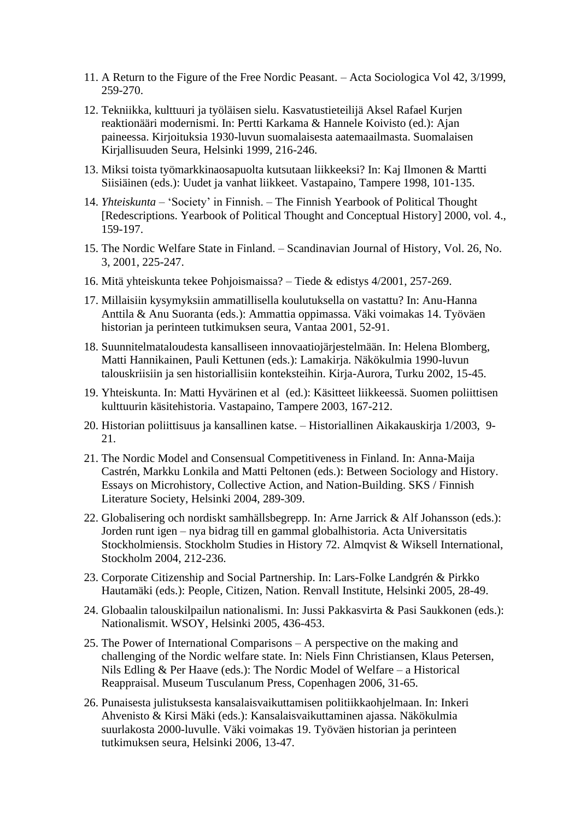- 11. A Return to the Figure of the Free Nordic Peasant. Acta Sociologica Vol 42, 3/1999, 259-270.
- 12. Tekniikka, kulttuuri ja työläisen sielu. Kasvatustieteilijä Aksel Rafael Kurjen reaktionääri modernismi. In: Pertti Karkama & Hannele Koivisto (ed.): Ajan paineessa. Kirjoituksia 1930-luvun suomalaisesta aatemaailmasta. Suomalaisen Kirjallisuuden Seura, Helsinki 1999, 216-246.
- 13. Miksi toista työmarkkinaosapuolta kutsutaan liikkeeksi? In: Kaj Ilmonen & Martti Siisiäinen (eds.): Uudet ja vanhat liikkeet. Vastapaino, Tampere 1998, 101-135.
- 14. *Yhteiskunta* 'Society' in Finnish. The Finnish Yearbook of Political Thought [Redescriptions. Yearbook of Political Thought and Conceptual History] 2000, vol. 4., 159-197.
- 15. The Nordic Welfare State in Finland. Scandinavian Journal of History, Vol. 26, No. 3, 2001, 225-247.
- 16. Mitä yhteiskunta tekee Pohjoismaissa? Tiede & edistys 4/2001, 257-269.
- 17. Millaisiin kysymyksiin ammatillisella koulutuksella on vastattu? In: Anu-Hanna Anttila & Anu Suoranta (eds.): Ammattia oppimassa. Väki voimakas 14. Työväen historian ja perinteen tutkimuksen seura, Vantaa 2001, 52-91.
- 18. Suunnitelmataloudesta kansalliseen innovaatiojärjestelmään. In: Helena Blomberg, Matti Hannikainen, Pauli Kettunen (eds.): Lamakirja. Näkökulmia 1990-luvun talouskriisiin ja sen historiallisiin konteksteihin. Kirja-Aurora, Turku 2002, 15-45.
- 19. Yhteiskunta. In: Matti Hyvärinen et al (ed.): Käsitteet liikkeessä. Suomen poliittisen kulttuurin käsitehistoria. Vastapaino, Tampere 2003, 167-212.
- 20. Historian poliittisuus ja kansallinen katse. Historiallinen Aikakauskirja 1/2003, 9- 21.
- 21. The Nordic Model and Consensual Competitiveness in Finland. In: Anna-Maija Castrén, Markku Lonkila and Matti Peltonen (eds.): Between Sociology and History. Essays on Microhistory, Collective Action, and Nation-Building. SKS / Finnish Literature Society, Helsinki 2004, 289-309.
- 22. Globalisering och nordiskt samhällsbegrepp. In: Arne Jarrick & Alf Johansson (eds.): Jorden runt igen – nya bidrag till en gammal globalhistoria. Acta Universitatis Stockholmiensis. Stockholm Studies in History 72. Almqvist & Wiksell International, Stockholm 2004, 212-236.
- 23. Corporate Citizenship and Social Partnership. In: Lars-Folke Landgrén & Pirkko Hautamäki (eds.): People, Citizen, Nation. Renvall Institute, Helsinki 2005, 28-49.
- 24. Globaalin talouskilpailun nationalismi. In: Jussi Pakkasvirta & Pasi Saukkonen (eds.): Nationalismit. WSOY, Helsinki 2005, 436-453.
- 25. The Power of International Comparisons A perspective on the making and challenging of the Nordic welfare state. In: Niels Finn Christiansen, Klaus Petersen, Nils Edling & Per Haave (eds.): The Nordic Model of Welfare – a Historical Reappraisal. Museum Tusculanum Press, Copenhagen 2006, 31-65.
- 26. Punaisesta julistuksesta kansalaisvaikuttamisen politiikkaohjelmaan. In: Inkeri Ahvenisto & Kirsi Mäki (eds.): Kansalaisvaikuttaminen ajassa. Näkökulmia suurlakosta 2000-luvulle. Väki voimakas 19. Työväen historian ja perinteen tutkimuksen seura, Helsinki 2006, 13-47.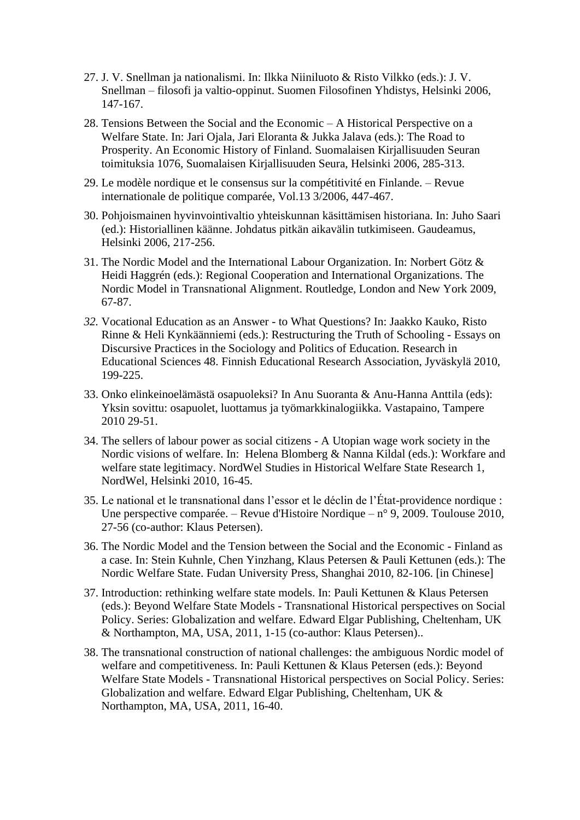- 27. J. V. Snellman ja nationalismi. In: Ilkka Niiniluoto & Risto Vilkko (eds.): J. V. Snellman – filosofi ja valtio-oppinut. Suomen Filosofinen Yhdistys, Helsinki 2006, 147-167.
- 28. Tensions Between the Social and the Economic A Historical Perspective on a Welfare State. In: Jari Ojala, Jari Eloranta & Jukka Jalava (eds.): The Road to Prosperity. An Economic History of Finland. Suomalaisen Kirjallisuuden Seuran toimituksia 1076, Suomalaisen Kirjallisuuden Seura, Helsinki 2006, 285-313.
- 29. Le modèle nordique et le consensus sur la compétitivité en Finlande. Revue internationale de politique comparée, Vol.13 3/2006, 447-467.
- 30. Pohjoismainen hyvinvointivaltio yhteiskunnan käsittämisen historiana. In: Juho Saari (ed.): Historiallinen käänne. Johdatus pitkän aikavälin tutkimiseen. Gaudeamus, Helsinki 2006, 217-256.
- 31. The Nordic Model and the International Labour Organization. In: Norbert Götz & Heidi Haggrén (eds.): Regional Cooperation and International Organizations. The Nordic Model in Transnational Alignment. Routledge, London and New York 2009, 67-87.
- *32.* Vocational Education as an Answer to What Questions? In: Jaakko Kauko, Risto Rinne & Heli Kynkäänniemi (eds.): Restructuring the Truth of Schooling - Essays on Discursive Practices in the Sociology and Politics of Education. Research in Educational Sciences 48. Finnish Educational Research Association, Jyväskylä 2010, 199-225.
- 33. Onko elinkeinoelämästä osapuoleksi? In Anu Suoranta & Anu-Hanna Anttila (eds): Yksin sovittu: osapuolet, luottamus ja työmarkkinalogiikka. Vastapaino, Tampere 2010 29-51.
- 34. The sellers of labour power as social citizens A Utopian wage work society in the Nordic visions of welfare. In: Helena Blomberg & Nanna Kildal (eds.): Workfare and welfare state legitimacy. NordWel Studies in Historical Welfare State Research 1, NordWel, Helsinki 2010, 16-45.
- 35. Le national et le transnational dans l'essor et le déclin de l'État-providence nordique : Une perspective comparée. – Revue d'Histoire Nordique – n° 9, 2009. Toulouse 2010, 27-56 (co-author: Klaus Petersen).
- 36. The Nordic Model and the Tension between the Social and the Economic Finland as a case. In: Stein Kuhnle, Chen Yinzhang, Klaus Petersen & Pauli Kettunen (eds.): The Nordic Welfare State. Fudan University Press, Shanghai 2010, 82-106. [in Chinese]
- 37. Introduction: rethinking welfare state models. In: Pauli Kettunen & Klaus Petersen (eds.): Beyond Welfare State Models - Transnational Historical perspectives on Social Policy. Series: Globalization and welfare. Edward Elgar Publishing, Cheltenham, UK & Northampton, MA, USA, 2011, 1-15 (co-author: Klaus Petersen)..
- 38. The transnational construction of national challenges: the ambiguous Nordic model of welfare and competitiveness. In: Pauli Kettunen & Klaus Petersen (eds.): Beyond Welfare State Models - Transnational Historical perspectives on Social Policy. Series: Globalization and welfare. Edward Elgar Publishing, Cheltenham, UK & Northampton, MA, USA, 2011, 16-40.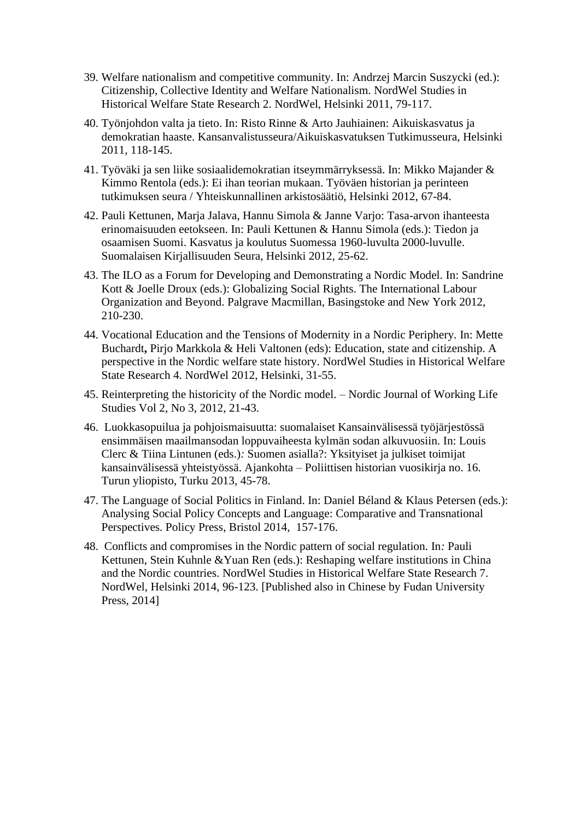- 39. Welfare nationalism and competitive community. In: Andrzej Marcin Suszycki (ed.): Citizenship, Collective Identity and Welfare Nationalism. NordWel Studies in Historical Welfare State Research 2. NordWel, Helsinki 2011, 79-117.
- 40. Työnjohdon valta ja tieto. In: Risto Rinne & Arto Jauhiainen: Aikuiskasvatus ja demokratian haaste. Kansanvalistusseura/Aikuiskasvatuksen Tutkimusseura, Helsinki 2011, 118-145.
- 41. Työväki ja sen liike sosiaalidemokratian itseymmärryksessä. In: Mikko Majander & Kimmo Rentola (eds.): Ei ihan teorian mukaan. Työväen historian ja perinteen tutkimuksen seura / Yhteiskunnallinen arkistosäätiö, Helsinki 2012, 67-84.
- 42. Pauli Kettunen, Marja Jalava, Hannu Simola & Janne Varjo: Tasa-arvon ihanteesta erinomaisuuden eetokseen. In: Pauli Kettunen & Hannu Simola (eds.): Tiedon ja osaamisen Suomi. Kasvatus ja koulutus Suomessa 1960-luvulta 2000-luvulle. Suomalaisen Kirjallisuuden Seura, Helsinki 2012, 25-62.
- 43. The ILO as a Forum for Developing and Demonstrating a Nordic Model. In: Sandrine Kott & Joelle Droux (eds.): Globalizing Social Rights. The International Labour Organization and Beyond. Palgrave Macmillan, Basingstoke and New York 2012, 210-230.
- 44. Vocational Education and the Tensions of Modernity in a Nordic Periphery. In: Mette Buchardt**,** Pirjo Markkola & Heli Valtonen (eds): Education, state and citizenship. A perspective in the Nordic welfare state history. NordWel Studies in Historical Welfare State Research 4. NordWel 2012, Helsinki, 31-55.
- 45. Reinterpreting the historicity of the Nordic model. Nordic Journal of Working Life Studies Vol 2, No 3, 2012, 21-43.
- 46. Luokkasopuilua ja pohjoismaisuutta: suomalaiset Kansainvälisessä työjärjestössä ensimmäisen maailmansodan loppuvaiheesta kylmän sodan alkuvuosiin. In: Louis Clerc & Tiina Lintunen (eds.)*:* Suomen asialla?: Yksityiset ja julkiset toimijat kansainvälisessä yhteistyössä. Ajankohta – Poliittisen historian vuosikirja no. 16. Turun yliopisto, Turku 2013, 45-78.
- 47. The Language of Social Politics in Finland. In: Daniel Béland & Klaus Petersen (eds.): Analysing Social Policy Concepts and Language: Comparative and Transnational Perspectives. Policy Press, Bristol 2014, 157-176.
- 48. Conflicts and compromises in the Nordic pattern of social regulation. In*:* Pauli Kettunen, Stein Kuhnle &Yuan Ren (eds.): Reshaping welfare institutions in China and the Nordic countries. NordWel Studies in Historical Welfare State Research 7. NordWel, Helsinki 2014, 96-123. [Published also in Chinese by Fudan University Press, 2014]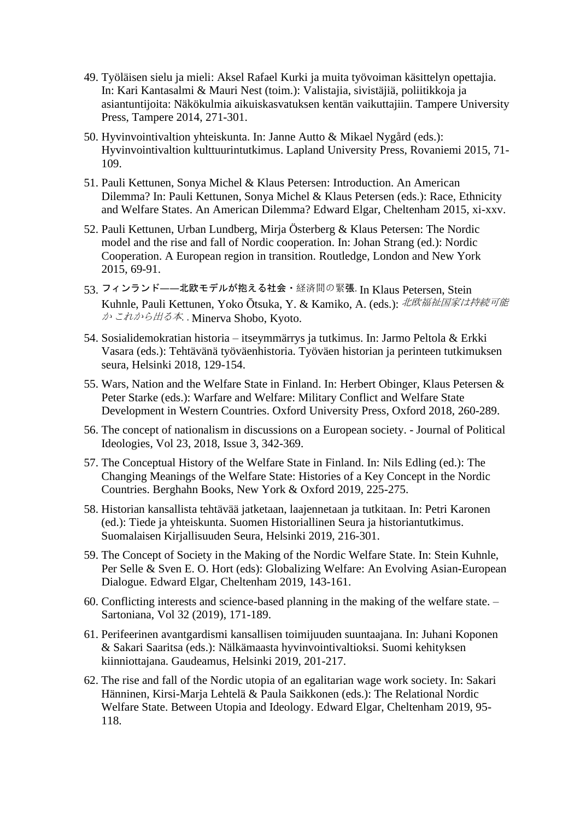- 49. Työläisen sielu ja mieli: Aksel Rafael Kurki ja muita työvoiman käsittelyn opettajia. In: Kari Kantasalmi & Mauri Nest (toim.): Valistajia, sivistäjiä, poliitikkoja ja asiantuntijoita: Näkökulmia aikuiskasvatuksen kentän vaikuttajiin. Tampere University Press, Tampere 2014, 271-301.
- 50. Hyvinvointivaltion yhteiskunta. In: Janne Autto & Mikael Nygård (eds.): Hyvinvointivaltion kulttuurintutkimus. Lapland University Press, Rovaniemi 2015, 71- 109.
- 51. Pauli Kettunen, Sonya Michel & Klaus Petersen: Introduction. An American Dilemma? In: Pauli Kettunen, Sonya Michel & Klaus Petersen (eds.): Race, Ethnicity and Welfare States. An American Dilemma? Edward Elgar, Cheltenham 2015, xi-xxv.
- 52. Pauli Kettunen, Urban Lundberg, Mirja Österberg & Klaus Petersen: The Nordic model and the rise and fall of Nordic cooperation. In: Johan Strang (ed.): Nordic Cooperation. A European region in transition. Routledge, London and New York 2015, 69-91.
- 53. フィンランド――北欧モデルが抱える社会・経済間の緊張. In Klaus Petersen, Stein Kuhnle, Pauli Kettunen, Yoko Ōtsuka, Y. & Kamiko, A. (eds.): 北欧福祉国家は持続可能 <sup>か</sup> これから出る本*.* . [Minerva Shobo,](javascript:void(0);) Kyoto.
- 54. Sosialidemokratian historia itseymmärrys ja tutkimus. In: Jarmo Peltola & Erkki Vasara (eds.): Tehtävänä työväenhistoria. Työväen historian ja perinteen tutkimuksen seura, Helsinki 2018, 129-154.
- 55. Wars, Nation and the Welfare State in Finland. In: Herbert Obinger, Klaus Petersen & Peter Starke (eds.): Warfare and Welfare: Military Conflict and Welfare State Development in Western Countries. Oxford University Press, Oxford 2018, 260-289.
- 56. The concept of nationalism in discussions on a European society. Journal of Political Ideologies, Vol 23, 2018, Issue 3, 342-369.
- 57. The Conceptual History of the Welfare State in Finland. In: Nils Edling (ed.): The Changing Meanings of the Welfare State: Histories of a Key Concept in the Nordic Countries. Berghahn Books, New York & Oxford 2019, 225-275.
- 58. Historian kansallista tehtävää jatketaan, laajennetaan ja tutkitaan. In: Petri Karonen (ed.): Tiede ja yhteiskunta. Suomen Historiallinen Seura ja historiantutkimus. Suomalaisen Kirjallisuuden Seura, Helsinki 2019, 216-301.
- 59. The Concept of Society in the Making of the Nordic Welfare State. In: Stein Kuhnle, Per Selle & Sven E. O. Hort (eds): Globalizing Welfare: An Evolving Asian-European Dialogue. Edward Elgar, Cheltenham 2019, 143-161.
- 60. Conflicting interests and science-based planning in the making of the welfare state. Sartoniana, Vol 32 (2019), 171-189.
- 61. Perifeerinen avantgardismi kansallisen toimijuuden suuntaajana. In: Juhani Koponen & Sakari Saaritsa (eds.): Nälkämaasta hyvinvointivaltioksi. Suomi kehityksen kiinniottajana. Gaudeamus, Helsinki 2019, 201-217.
- 62. The rise and fall of the Nordic utopia of an egalitarian wage work society. In: Sakari Hänninen, Kirsi-Marja Lehtelä & Paula Saikkonen (eds.): The Relational Nordic Welfare State. Between Utopia and Ideology. Edward Elgar, Cheltenham 2019, 95- 118.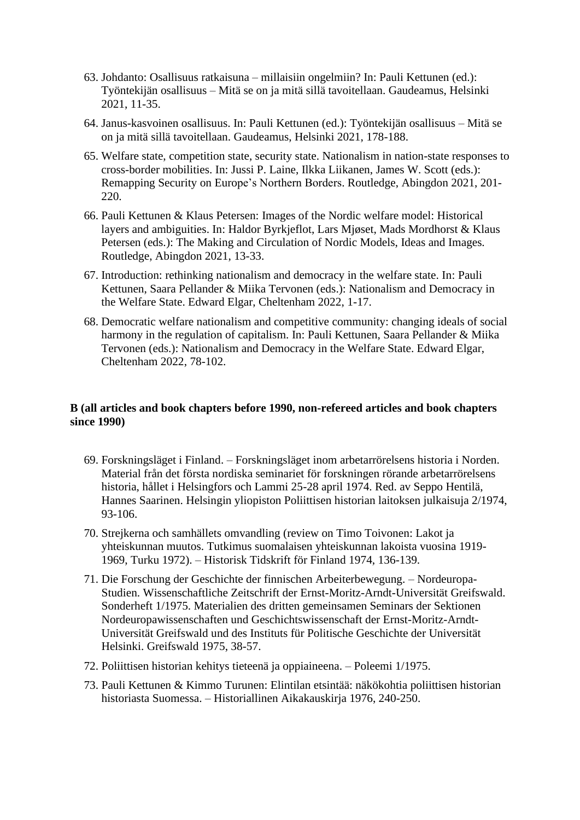- 63. Johdanto: Osallisuus ratkaisuna millaisiin ongelmiin? In: Pauli Kettunen (ed.): Työntekijän osallisuus – Mitä se on ja mitä sillä tavoitellaan. Gaudeamus, Helsinki 2021, 11-35.
- 64. Janus-kasvoinen osallisuus. In: Pauli Kettunen (ed.): Työntekijän osallisuus Mitä se on ja mitä sillä tavoitellaan. Gaudeamus, Helsinki 2021, 178-188.
- 65. Welfare state, competition state, security state. Nationalism in nation-state responses to cross-border mobilities. In: Jussi P. Laine, Ilkka Liikanen, James W. Scott (eds.): Remapping Security on Europe's Northern Borders. Routledge, Abingdon 2021, 201- 220.
- 66. Pauli Kettunen & Klaus Petersen: Images of the Nordic welfare model: Historical layers and ambiguities. In: Haldor Byrkjeflot, Lars Mjøset, Mads Mordhorst & Klaus Petersen (eds.): The Making and Circulation of Nordic Models, Ideas and Images*.* Routledge, Abingdon 2021, 13-33.
- 67. Introduction: rethinking nationalism and democracy in the welfare state. In: Pauli Kettunen, Saara Pellander & Miika Tervonen (eds.): Nationalism and Democracy in the Welfare State. Edward Elgar, Cheltenham 2022, 1-17.
- 68. Democratic welfare nationalism and competitive community: changing ideals of social harmony in the regulation of capitalism. In: Pauli Kettunen, Saara Pellander & Miika Tervonen (eds.): Nationalism and Democracy in the Welfare State. Edward Elgar, Cheltenham 2022, 78-102.

#### **B (all articles and book chapters before 1990, non-refereed articles and book chapters since 1990)**

- 69. Forskningsläget i Finland. Forskningsläget inom arbetarrörelsens historia i Norden. Material från det första nordiska seminariet för forskningen rörande arbetarrörelsens historia, hållet i Helsingfors och Lammi 25-28 april 1974. Red. av Seppo Hentilä, Hannes Saarinen. Helsingin yliopiston Poliittisen historian laitoksen julkaisuja 2/1974, 93-106.
- 70. Strejkerna och samhällets omvandling (review on Timo Toivonen: Lakot ja yhteiskunnan muutos. Tutkimus suomalaisen yhteiskunnan lakoista vuosina 1919- 1969, Turku 1972). – Historisk Tidskrift för Finland 1974, 136-139.
- 71. Die Forschung der Geschichte der finnischen Arbeiterbewegung. Nordeuropa-Studien. Wissenschaftliche Zeitschrift der Ernst-Moritz-Arndt-Universität Greifswald. Sonderheft 1/1975. Materialien des dritten gemeinsamen Seminars der Sektionen Nordeuropawissenschaften und Geschichtswissenschaft der Ernst-Moritz-Arndt-Universität Greifswald und des Instituts für Politische Geschichte der Universität Helsinki. Greifswald 1975, 38-57.
- 72. Poliittisen historian kehitys tieteenä ja oppiaineena. Poleemi 1/1975.
- 73. Pauli Kettunen & Kimmo Turunen: Elintilan etsintää: näkökohtia poliittisen historian historiasta Suomessa. – Historiallinen Aikakauskirja 1976, 240-250.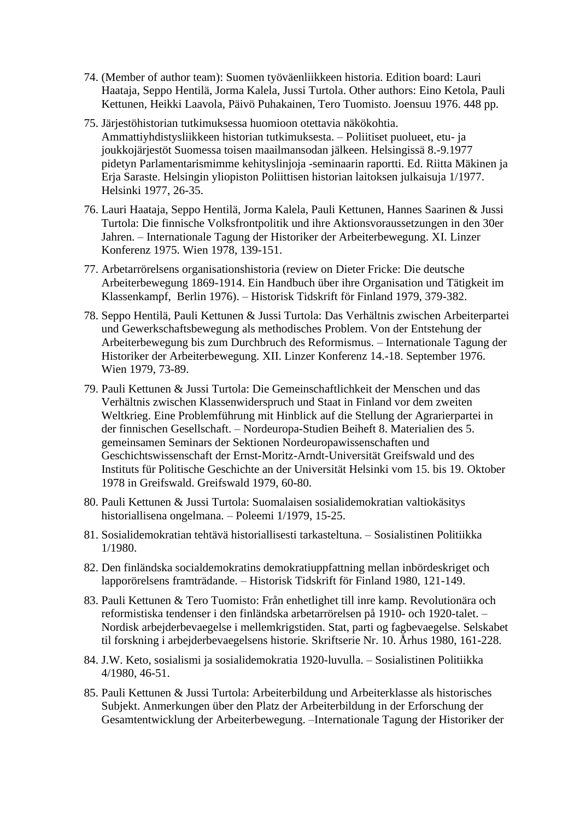- 74. (Member of author team): Suomen työväenliikkeen historia. Edition board: Lauri Haataja, Seppo Hentilä, Jorma Kalela, Jussi Turtola. Other authors: Eino Ketola, Pauli Kettunen, Heikki Laavola, Päivö Puhakainen, Tero Tuomisto. Joensuu 1976. 448 pp.
- 75. Järjestöhistorian tutkimuksessa huomioon otettavia näkökohtia. Ammattiyhdistysliikkeen historian tutkimuksesta. – Poliitiset puolueet, etu- ja joukkojärjestöt Suomessa toisen maailmansodan jälkeen. Helsingissä 8.-9.1977 pidetyn Parlamentarismimme kehityslinjoja -seminaarin raportti. Ed. Riitta Mäkinen ja Erja Saraste. Helsingin yliopiston Poliittisen historian laitoksen julkaisuja 1/1977. Helsinki 1977, 26-35.
- 76. Lauri Haataja, Seppo Hentilä, Jorma Kalela, Pauli Kettunen, Hannes Saarinen & Jussi Turtola: Die finnische Volksfrontpolitik und ihre Aktionsvoraussetzungen in den 30er Jahren. – Internationale Tagung der Historiker der Arbeiterbewegung. XI. Linzer Konferenz 1975. Wien 1978, 139-151.
- 77. Arbetarrörelsens organisationshistoria (review on Dieter Fricke: Die deutsche Arbeiterbewegung 1869-1914. Ein Handbuch über ihre Organisation und Tätigkeit im Klassenkampf, Berlin 1976). – Historisk Tidskrift för Finland 1979, 379-382.
- 78. Seppo Hentilä, Pauli Kettunen & Jussi Turtola: Das Verhältnis zwischen Arbeiterpartei und Gewerkschaftsbewegung als methodisches Problem. Von der Entstehung der Arbeiterbewegung bis zum Durchbruch des Reformismus. – Internationale Tagung der Historiker der Arbeiterbewegung. XII. Linzer Konferenz 14.-18. September 1976. Wien 1979, 73-89.
- 79. Pauli Kettunen & Jussi Turtola: Die Gemeinschaftlichkeit der Menschen und das Verhältnis zwischen Klassenwiderspruch und Staat in Finland vor dem zweiten Weltkrieg. Eine Problemführung mit Hinblick auf die Stellung der Agrarierpartei in der finnischen Gesellschaft. – Nordeuropa-Studien Beiheft 8. Materialien des 5. gemeinsamen Seminars der Sektionen Nordeuropawissenschaften und Geschichtswissenschaft der Ernst-Moritz-Arndt-Universität Greifswald und des Instituts für Politische Geschichte an der Universität Helsinki vom 15. bis 19. Oktober 1978 in Greifswald. Greifswald 1979, 60-80.
- 80. Pauli Kettunen & Jussi Turtola: Suomalaisen sosialidemokratian valtiokäsitys historiallisena ongelmana. – Poleemi 1/1979, 15-25.
- 81. Sosialidemokratian tehtävä historiallisesti tarkasteltuna. Sosialistinen Politiikka 1/1980.
- 82. Den finländska socialdemokratins demokratiuppfattning mellan inbördeskriget och lapporörelsens framträdande. – Historisk Tidskrift för Finland 1980, 121-149.
- 83. Pauli Kettunen & Tero Tuomisto: Från enhetlighet till inre kamp. Revolutionära och reformistiska tendenser i den finländska arbetarrörelsen på 1910- och 1920-talet. – Nordisk arbejderbevaegelse i mellemkrigstiden. Stat, parti og fagbevaegelse. Selskabet til forskning i arbejderbevaegelsens historie. Skriftserie Nr. 10. Århus 1980, 161-228.
- 84. J.W. Keto, sosialismi ja sosialidemokratia 1920-luvulla. Sosialistinen Politiikka 4/1980, 46-51.
- 85. Pauli Kettunen & Jussi Turtola: Arbeiterbildung und Arbeiterklasse als historisches Subjekt. Anmerkungen über den Platz der Arbeiterbildung in der Erforschung der Gesamtentwicklung der Arbeiterbewegung. –Internationale Tagung der Historiker der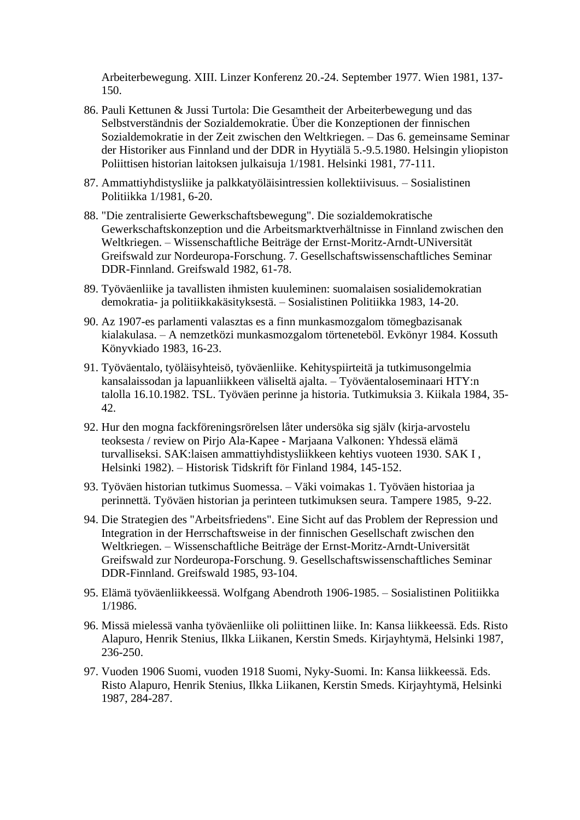Arbeiterbewegung. XIII. Linzer Konferenz 20.-24. September 1977. Wien 1981, 137- 150.

- 86. Pauli Kettunen & Jussi Turtola: Die Gesamtheit der Arbeiterbewegung und das Selbstverständnis der Sozialdemokratie. Über die Konzeptionen der finnischen Sozialdemokratie in der Zeit zwischen den Weltkriegen. – Das 6. gemeinsame Seminar der Historiker aus Finnland und der DDR in Hyytiälä 5.-9.5.1980. Helsingin yliopiston Poliittisen historian laitoksen julkaisuja 1/1981. Helsinki 1981, 77-111.
- 87. Ammattiyhdistysliike ja palkkatyöläisintressien kollektiivisuus. Sosialistinen Politiikka 1/1981, 6-20.
- 88. "Die zentralisierte Gewerkschaftsbewegung". Die sozialdemokratische Gewerkschaftskonzeption und die Arbeitsmarktverhältnisse in Finnland zwischen den Weltkriegen. – Wissenschaftliche Beiträge der Ernst-Moritz-Arndt-UNiversität Greifswald zur Nordeuropa-Forschung. 7. Gesellschaftswissenschaftliches Seminar DDR-Finnland. Greifswald 1982, 61-78.
- 89. [Työväenliike ja tavallisten ihmisten kuuleminen: suomalaisen sosialidemokratian](https://arto.linneanet.fi/cgi-bin/Pwebrecon.cgi?SC=Title&SEQ=20090114164527&PID=awbH2toVH2pRvjISg2pZFavQYA_I0&SA=Ty%C3%B6v%C3%A4enliike+ja+tavallisten+ihmisten+kuuleminen+:+suomalaisen+sosialidemokratian+demokratia-+ja+politiikkak%C3%A4sityksest%C3%A4.)  demokratia- [ja politiikkakäsityksestä.](https://arto.linneanet.fi/cgi-bin/Pwebrecon.cgi?SC=Title&SEQ=20090114164527&PID=awbH2toVH2pRvjISg2pZFavQYA_I0&SA=Ty%C3%B6v%C3%A4enliike+ja+tavallisten+ihmisten+kuuleminen+:+suomalaisen+sosialidemokratian+demokratia-+ja+politiikkak%C3%A4sityksest%C3%A4.) – Sosialistinen Politiikka 1983, 14-20.
- 90. Az 1907-es parlamenti valasztas es a finn munkasmozgalom tömegbazisanak kialakulasa. – A nemzetközi munkasmozgalom törteneteböl. Evkönyr 1984. Kossuth Könyvkiado 1983, 16-23.
- 91. Työväentalo, työläisyhteisö, työväenliike. Kehityspiirteitä ja tutkimusongelmia kansalaissodan ja lapuanliikkeen väliseltä ajalta. – Työväentaloseminaari HTY:n talolla 16.10.1982. TSL. Työväen perinne ja historia. Tutkimuksia 3. Kiikala 1984, 35- 42.
- 92. Hur den mogna fackföreningsrörelsen låter undersöka sig själv (kirja-arvostelu teoksesta / review on Pirjo Ala-Kapee - Marjaana Valkonen: Yhdessä elämä turvalliseksi. SAK:laisen ammattiyhdistysliikkeen kehtiys vuoteen 1930. SAK I , Helsinki 1982). – Historisk Tidskrift för Finland 1984, 145-152.
- 93. Työväen historian tutkimus Suomessa. Väki voimakas 1. Työväen historiaa ja perinnettä. Työväen historian ja perinteen tutkimuksen seura. Tampere 1985, 9-22.
- 94. Die Strategien des "Arbeitsfriedens". Eine Sicht auf das Problem der Repression und Integration in der Herrschaftsweise in der finnischen Gesellschaft zwischen den Weltkriegen. – Wissenschaftliche Beiträge der Ernst-Moritz-Arndt-Universität Greifswald zur Nordeuropa-Forschung. 9. Gesellschaftswissenschaftliches Seminar DDR-Finnland. Greifswald 1985, 93-104.
- 95. Elämä työväenliikkeessä. Wolfgang Abendroth 1906-1985. Sosialistinen Politiikka 1/1986.
- 96. Missä mielessä vanha työväenliike oli poliittinen liike. In: Kansa liikkeessä. Eds. Risto Alapuro, Henrik Stenius, Ilkka Liikanen, Kerstin Smeds. Kirjayhtymä, Helsinki 1987, 236-250.
- 97. Vuoden 1906 Suomi, vuoden 1918 Suomi, Nyky-Suomi. In: Kansa liikkeessä. Eds. Risto Alapuro, Henrik Stenius, Ilkka Liikanen, Kerstin Smeds. Kirjayhtymä, Helsinki 1987, 284-287.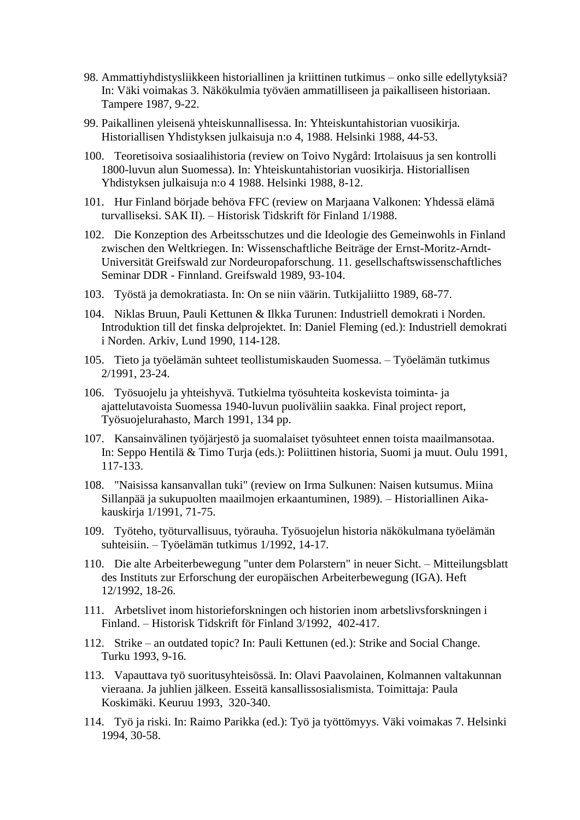- 98. Ammattiyhdistysliikkeen historiallinen ja kriittinen tutkimus onko sille edellytyksiä? In: Väki voimakas 3. Näkökulmia työväen ammatilliseen ja paikalliseen historiaan. Tampere 1987, 9-22.
- 99. Paikallinen yleisenä yhteiskunnallisessa. In: Yhteiskuntahistorian vuosikirja. Historiallisen Yhdistyksen julkaisuja n:o 4, 1988. Helsinki 1988, 44-53.
- 100. Teoretisoiva sosiaalihistoria (review on Toivo Nygård: Irtolaisuus ja sen kontrolli 1800-luvun alun Suomessa). In: Yhteiskuntahistorian vuosikirja. Historiallisen Yhdistyksen julkaisuja n:o 4 1988. Helsinki 1988, 8-12.
- 101. Hur Finland började behöva FFC (review on Marjaana Valkonen: Yhdessä elämä turvalliseksi. SAK II). – Historisk Tidskrift för Finland 1/1988.
- 102. Die Konzeption des Arbeitsschutzes und die Ideologie des Gemeinwohls in Finland zwischen den Weltkriegen. In: Wissenschaftliche Beiträge der Ernst-Moritz-Arndt-Universität Greifswald zur Nordeuropaforschung. 11. gesellschaftswissenschaftliches Seminar DDR - Finnland. Greifswald 1989, 93-104.
- 103. Työstä ja demokratiasta. In: On se niin väärin. Tutkijaliitto 1989, 68-77.
- 104. Niklas Bruun, Pauli Kettunen & Ilkka Turunen: Industriell demokrati i Norden. Introduktion till det finska delprojektet. In: Daniel Fleming (ed.): Industriell demokrati i Norden. Arkiv, Lund 1990, 114-128.
- 105. Tieto ja työelämän suhteet teollistumiskauden Suomessa. Työelämän tutkimus 2/1991, 23-24.
- 106. Työsuojelu ja yhteishyvä. Tutkielma työsuhteita koskevista toiminta- ja ajattelutavoista Suomessa 1940-luvun puoliväliin saakka. Final project report, Työsuojelurahasto, March 1991, 134 pp.
- 107. Kansainvälinen työjärjestö ja suomalaiset työsuhteet ennen toista maailmansotaa. In: Seppo Hentilä & Timo Turja (eds.): Poliittinen historia, Suomi ja muut. Oulu 1991, 117-133.
- 108. "Naisissa kansanvallan tuki" (review on Irma Sulkunen: Naisen kutsumus. Miina Sillanpää ja sukupuolten maailmojen erkaantuminen, 1989). – Historiallinen Aikakauskirja 1/1991, 71-75.
- 109. Työteho, työturvallisuus, työrauha. Työsuojelun historia näkökulmana työelämän suhteisiin. – Työelämän tutkimus 1/1992, 14-17.
- 110. Die alte Arbeiterbewegung "unter dem Polarstern" in neuer Sicht. Mitteilungsblatt des Instituts zur Erforschung der europäischen Arbeiterbewegung (IGA). Heft 12/1992, 18-26.
- 111. Arbetslivet inom historieforskningen och historien inom arbetslivsforskningen i Finland. – Historisk Tidskrift för Finland 3/1992, 402-417.
- 112. Strike an outdated topic? In: Pauli Kettunen (ed.): Strike and Social Change. Turku 1993, 9-16.
- 113. Vapauttava työ suoritusyhteisössä. In: Olavi Paavolainen, Kolmannen valtakunnan vieraana. Ja juhlien jälkeen. Esseitä kansallissosialismista. Toimittaja: Paula Koskimäki. Keuruu 1993, 320-340.
- 114. Työ ja riski. In: Raimo Parikka (ed.): Työ ja työttömyys. Väki voimakas 7. Helsinki 1994, 30-58.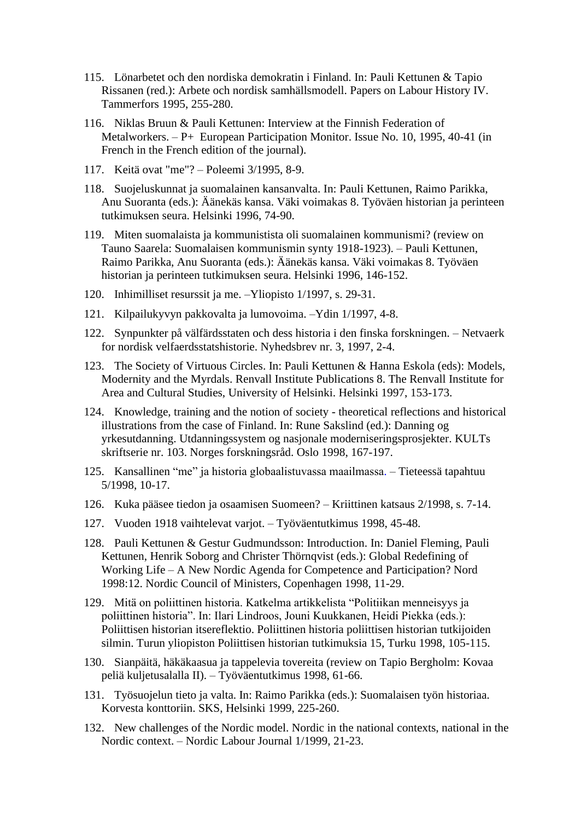- 115. Lönarbetet och den nordiska demokratin i Finland. In: Pauli Kettunen & Tapio Rissanen (red.): Arbete och nordisk samhällsmodell. Papers on Labour History IV. Tammerfors 1995, 255-280.
- 116. Niklas Bruun & Pauli Kettunen: Interview at the Finnish Federation of Metalworkers. – P+ European Participation Monitor. Issue No. 10, 1995, 40-41 (in French in the French edition of the journal).
- 117. Keitä ovat "me"? Poleemi 3/1995, 8-9.
- 118. Suojeluskunnat ja suomalainen kansanvalta. In: Pauli Kettunen, Raimo Parikka, Anu Suoranta (eds.): Äänekäs kansa. Väki voimakas 8. Työväen historian ja perinteen tutkimuksen seura. Helsinki 1996, 74-90.
- 119. Miten suomalaista ja kommunistista oli suomalainen kommunismi? (review on Tauno Saarela: Suomalaisen kommunismin synty 1918-1923). – Pauli Kettunen, Raimo Parikka, Anu Suoranta (eds.): Äänekäs kansa. Väki voimakas 8. Työväen historian ja perinteen tutkimuksen seura. Helsinki 1996, 146-152.
- 120. [Inhimilliset resurssit ja me.](http://www.helsinki.fi/lehdet/yolehti/1997_1/ylart12.htm) –Yliopisto 1/1997, s. 29-31.
- 121. Kilpailukyvyn pakkovalta ja lumovoima. –Ydin 1/1997, 4-8.
- 122. Synpunkter på välfärdsstaten och dess historia i den finska forskningen. Netvaerk for nordisk velfaerdsstatshistorie. Nyhedsbrev nr. 3, 1997, 2-4.
- 123. The Society of Virtuous Circles. In: Pauli Kettunen & Hanna Eskola (eds): Models, Modernity and the Myrdals. Renvall Institute Publications 8. The Renvall Institute for Area and Cultural Studies, University of Helsinki. Helsinki 1997, 153-173.
- 124. Knowledge, training and the notion of society theoretical reflections and historical illustrations from the case of Finland. In: Rune Sakslind (ed.): Danning og yrkesutdanning. Utdanningssystem og nasjonale moderniseringsprosjekter. KULTs skriftserie nr. 103. Norges forskningsråd. Oslo 1998, 167-197.
- 125. [Kansallinen "me" ja historia globaalistuvassa maailmassa.](http://www.tsv.fi/ttapaht/985/kettunen.htm) Tieteessä tapahtuu 5/1998, 10-17.
- 126. Kuka pääsee tiedon ja osaamisen Suomeen? Kriittinen katsaus 2/1998, s. 7-14.
- 127. [Vuoden 1918 vaihtelevat varjot.](http://www.tsl.fi/~perinne/tyovaentutkimus/1998/kettunen.html) Työväentutkimus 1998, 45-48.
- 128. Pauli Kettunen & Gestur Gudmundsson: Introduction. In: Daniel Fleming, Pauli Kettunen, Henrik Soborg and Christer Thörnqvist (eds.): Global Redefining of Working Life – A New Nordic Agenda for Competence and Participation? Nord 1998:12. Nordic Council of Ministers, Copenhagen 1998, 11-29.
- 129. Mitä on poliittinen historia. Katkelma artikkelista "Politiikan menneisyys ja poliittinen historia". In: Ilari Lindroos, Jouni Kuukkanen, Heidi Piekka (eds.): Poliittisen historian itsereflektio. Poliittinen historia poliittisen historian tutkijoiden silmin. Turun yliopiston Poliittisen historian tutkimuksia 15, Turku 1998, 105-115.
- 130. Sianpäitä, häkäkaasua ja tappelevia tovereita (review on Tapio Bergholm: Kovaa peliä kuljetusalalla II). – Työväentutkimus 1998, 61-66.
- 131. Työsuojelun tieto ja valta. In: Raimo Parikka (eds.): Suomalaisen työn historiaa. Korvesta konttoriin. SKS, Helsinki 1999, 225-260.
- 132. New challenges of the Nordic model. Nordic in the national contexts, national in the Nordic context. – Nordic Labour Journal 1/1999, 21-23.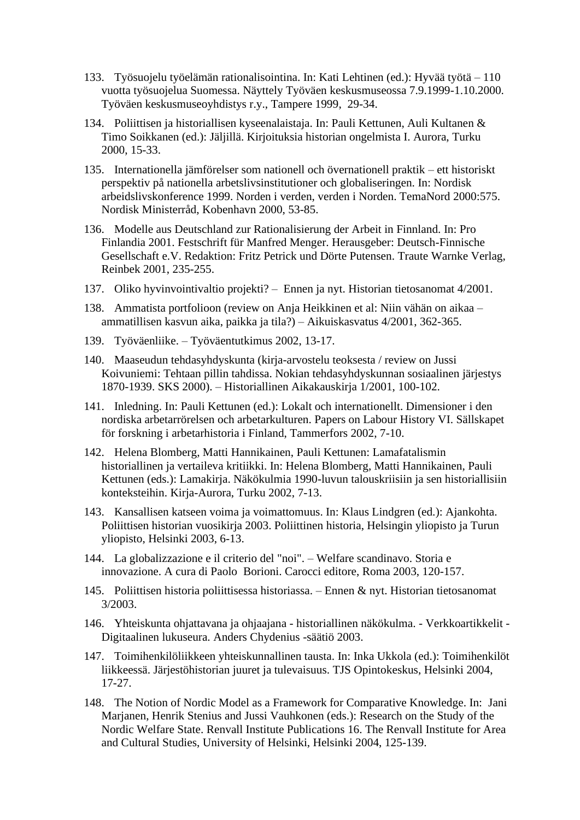- 133. Työsuojelu työelämän rationalisointina. In: Kati Lehtinen (ed.): Hyvää työtä 110 vuotta työsuojelua Suomessa. Näyttely Työväen keskusmuseossa 7.9.1999-1.10.2000. Työväen keskusmuseoyhdistys r.y., Tampere 1999, 29-34.
- 134. Poliittisen ja historiallisen kyseenalaistaja. In: Pauli Kettunen, Auli Kultanen & Timo Soikkanen (ed.): Jäljillä. Kirjoituksia historian ongelmista I. Aurora, Turku 2000, 15-33.
- 135. Internationella jämförelser som nationell och övernationell praktik ett historiskt perspektiv på nationella arbetslivsinstitutioner och globaliseringen. In: Nordisk arbeidslivskonference 1999. Norden i verden, verden i Norden. TemaNord 2000:575. Nordisk Ministerråd, Kobenhavn 2000, 53-85.
- 136. Modelle aus Deutschland zur Rationalisierung der Arbeit in Finnland. In: Pro Finlandia 2001. Festschrift für Manfred Menger. Herausgeber: Deutsch-Finnische Gesellschaft e.V. Redaktion: Fritz Petrick und Dörte Putensen. Traute Warnke Verlag, Reinbek 2001, 235-255.
- 137. [Oliko hyvinvointivaltio projekti?](http://www.ennenjanyt.net/4-01/kettunen.htm) Ennen ja nyt. Historian tietosanomat 4/2001.
- 138. [Ammatista portfolioon](http://elektra.helsinki.fi/se/a/0358-6197/21/4/ammatist.pdf) (review on Anja Heikkinen et al: Niin vähän on aikaa ammatillisen kasvun aika, paikka ja tila?) – Aikuiskasvatus 4/2001, 362-365.
- 139. [Työväenliike.](http://www.tyovaenperinne.fi/tyovaentutkimus/2002/ttutk02.htm) Työväentutkimus 2002, 13-17.
- 140. Maaseudun tehdasyhdyskunta (kirja-arvostelu teoksesta / review on Jussi Koivuniemi: Tehtaan pillin tahdissa. Nokian tehdasyhdyskunnan sosiaalinen järjestys 1870-1939. SKS 2000). – Historiallinen Aikakauskirja 1/2001, 100-102.
- 141. Inledning. In: Pauli Kettunen (ed.): Lokalt och internationellt. Dimensioner i den nordiska arbetarrörelsen och arbetarkulturen. Papers on Labour History VI. Sällskapet för forskning i arbetarhistoria i Finland, Tammerfors 2002, 7-10.
- 142. Helena Blomberg, Matti Hannikainen, Pauli Kettunen: Lamafatalismin historiallinen ja vertaileva kritiikki. In: Helena Blomberg, Matti Hannikainen, Pauli Kettunen (eds.): Lamakirja. Näkökulmia 1990-luvun talouskriisiin ja sen historiallisiin konteksteihin. Kirja-Aurora, Turku 2002, 7-13.
- 143. Kansallisen katseen voima ja voimattomuus. In: Klaus Lindgren (ed.): Ajankohta. Poliittisen historian vuosikirja 2003. Poliittinen historia, Helsingin yliopisto ja Turun yliopisto, Helsinki 2003, 6-13.
- 144. La globalizzazione e il criterio del "noi". Welfare scandinavo. Storia e innovazione. A cura di Paolo Borioni. Carocci editore, Roma 2003, 120-157.
- 145. [Poliittisen historia poliittisessa historiassa.](http://www.ennenjanyt.net/3-03/kettunen.htm) Ennen & nyt. Historian tietosanomat 3/2003.
- 146. [Yhteiskunta ohjattavana ja ohjaajana -](http://www.chydenius.net/historia/kirjallisuus/kettunen.asp) historiallinen näkökulma. Verkkoartikkelit Digitaalinen lukuseura. Anders Chydenius -säätiö 2003.
- 147. Toimihenkilöliikkeen yhteiskunnallinen tausta. In: Inka Ukkola (ed.): Toimihenkilöt liikkeessä. Järjestöhistorian juuret ja tulevaisuus. TJS Opintokeskus, Helsinki 2004, 17-27.
- 148. The Notion of Nordic Model as a Framework for Comparative Knowledge. In: Jani Marjanen, Henrik Stenius and Jussi Vauhkonen (eds.): Research on the Study of the Nordic Welfare State. Renvall Institute Publications 16. The Renvall Institute for Area and Cultural Studies, University of Helsinki, Helsinki 2004, 125-139.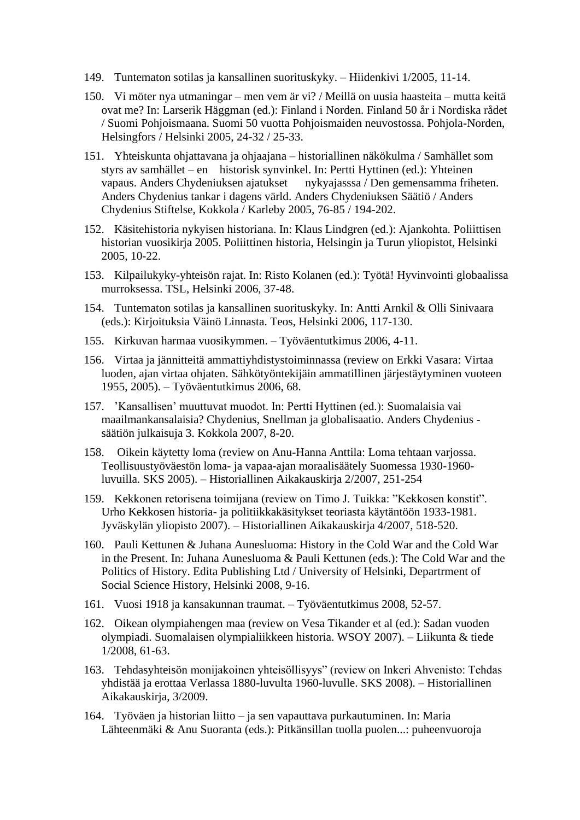- 149. [Tuntematon sotilas ja kansallinen suorituskyky.](http://www.deski.fi/page.php?page_id=24&tiedote_id=109) Hiidenkivi 1/2005, 11-14.
- 150. Vi möter nya utmaningar men vem är vi? / Meillä on uusia haasteita mutta keitä ovat me? In: Larserik Häggman (ed.): Finland i Norden. Finland 50 år i Nordiska rådet / Suomi Pohjoismaana. Suomi 50 vuotta Pohjoismaiden neuvostossa. Pohjola-Norden, Helsingfors / Helsinki 2005, 24-32 / 25-33.
- 151. Yhteiskunta ohjattavana ja ohjaajana historiallinen näkökulma / Samhället som styrs av samhället – en historisk synvinkel. In: Pertti Hyttinen (ed.): Yhteinen vapaus. Anders Chydeniuksen ajatukset nykyajasssa / Den gemensamma friheten. Anders Chydenius tankar i dagens värld. Anders Chydeniuksen Säätiö / Anders Chydenius Stiftelse, Kokkola / Karleby 2005, 76-85 / 194-202.
- 152. Käsitehistoria nykyisen historiana. In: Klaus Lindgren (ed.): Ajankohta. Poliittisen historian vuosikirja 2005. Poliittinen historia, Helsingin ja Turun yliopistot, Helsinki 2005, 10-22.
- 153. Kilpailukyky-yhteisön rajat. In: Risto Kolanen (ed.): Työtä! Hyvinvointi globaalissa murroksessa. TSL, Helsinki 2006, 37-48.
- 154. Tuntematon sotilas ja kansallinen suorituskyky. In: Antti Arnkil & Olli Sinivaara (eds.): Kirjoituksia Väinö Linnasta. Teos, Helsinki 2006, 117-130.
- 155. Kirkuvan harmaa vuosikymmen. Työväentutkimus 2006, 4-11.
- 156. Virtaa ja jännitteitä ammattiyhdistystoiminnassa (review on Erkki Vasara: Virtaa luoden, ajan virtaa ohjaten. Sähkötyöntekijäin ammatillinen järjestäytyminen vuoteen 1955, 2005). – Työväentutkimus 2006, 68.
- 157. 'Kansallisen' muuttuvat muodot. In: Pertti Hyttinen (ed.): [Suomalaisia vai](http://www.chydenius.net/pdf/jvs_kirja_korjattu.pdf)  [maailmankansalaisia? Chydenius, Snellman ja globalisaatio.](http://www.chydenius.net/pdf/jvs_kirja_korjattu.pdf) Anders Chydenius säätiön julkaisuja 3. Kokkola 2007, 8-20.
- 158. Oikein käytetty loma (review on Anu-Hanna Anttila: Loma tehtaan varjossa. Teollisuustyöväestön loma- ja vapaa-ajan moraalisäätely Suomessa 1930-1960 luvuilla. SKS 2005). – Historiallinen Aikakauskirja 2/2007, 251-254
- 159. Kekkonen retorisena toimijana (review on Timo J. Tuikka: "Kekkosen konstit". Urho Kekkosen historia- ja politiikkakäsitykset teoriasta käytäntöön 1933-1981. Jyväskylän yliopisto 2007). – Historiallinen Aikakauskirja 4/2007, 518-520.
- 160. Pauli Kettunen & Juhana Aunesluoma: History in the Cold War and the Cold War in the Present. In: Juhana Aunesluoma & Pauli Kettunen (eds.): The Cold War and the Politics of History. Edita Publishing Ltd / University of Helsinki, Departrment of Social Science History, Helsinki 2008, 9-16.
- 161. Vuosi 1918 ja kansakunnan traumat. Työväentutkimus 2008, 52-57.
- 162. Oikean olympiahengen maa (review on Vesa Tikander et al (ed.): Sadan vuoden olympiadi. Suomalaisen olympialiikkeen historia. WSOY 2007). – Liikunta & tiede 1/2008, 61-63.
- 163. Tehdasyhteisön monijakoinen yhteisöllisyys" (review on Inkeri Ahvenisto: Tehdas yhdistää ja erottaa Verlassa 1880-luvulta 1960-luvulle. SKS 2008). – Historiallinen Aikakauskirja, 3/2009.
- 164. Työväen ja historian liitto ja sen vapauttava purkautuminen. In: Maria Lähteenmäki & Anu Suoranta (eds.): Pitkänsillan tuolla puolen...: puheenvuoroja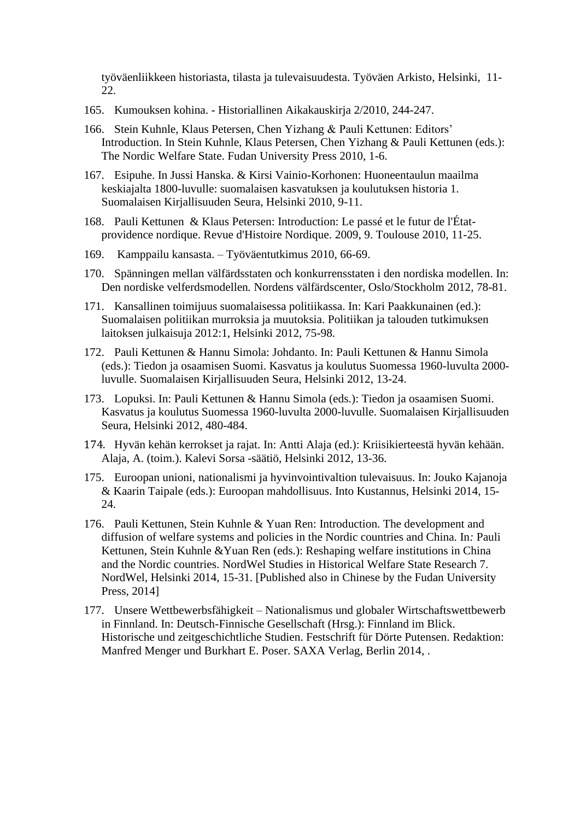työväenliikkeen historiasta, tilasta ja tulevaisuudesta. Työväen Arkisto, Helsinki, 11- 22.

- 165. Kumouksen kohina. Historiallinen Aikakauskirja 2/2010, 244-247.
- 166. Stein Kuhnle, Klaus Petersen, Chen Yizhang & Pauli Kettunen: Editors' Introduction. In Stein Kuhnle, Klaus Petersen, Chen Yizhang & Pauli Kettunen (eds.): The Nordic Welfare State. Fudan University Press 2010, 1-6.
- 167. Esipuhe. In Jussi Hanska. & Kirsi Vainio-Korhonen: Huoneentaulun maailma keskiajalta 1800-luvulle: suomalaisen kasvatuksen ja koulutuksen historia 1. Suomalaisen Kirjallisuuden Seura, Helsinki 2010, 9-11.
- 168. Pauli Kettunen & Klaus Petersen: Introduction: Le passé et le futur de l'Étatprovidence nordique. Revue d'Histoire Nordique. 2009, 9. Toulouse 2010, 11-25.
- 169. Kamppailu kansasta. Työväentutkimus 2010, 66-69.
- 170. Spänningen mellan välfärdsstaten och konkurrensstaten i den nordiska modellen. In: Den nordiske velferdsmodellen*.* Nordens välfärdscenter, Oslo/Stockholm 2012, 78-81.
- 171. Kansallinen toimijuus suomalaisessa politiikassa. In: Kari Paakkunainen (ed.): Suomalaisen politiikan murroksia ja muutoksia. Politiikan ja talouden tutkimuksen laitoksen julkaisuja 2012:1, Helsinki 2012, 75-98.
- 172. Pauli Kettunen & Hannu Simola: Johdanto. In: Pauli Kettunen & Hannu Simola (eds.): Tiedon ja osaamisen Suomi. Kasvatus ja koulutus Suomessa 1960-luvulta 2000 luvulle. Suomalaisen Kirjallisuuden Seura, Helsinki 2012, 13-24.
- 173. Lopuksi. In: Pauli Kettunen & Hannu Simola (eds.): Tiedon ja osaamisen Suomi. Kasvatus ja koulutus Suomessa 1960-luvulta 2000-luvulle. Suomalaisen Kirjallisuuden Seura, Helsinki 2012, 480-484.
- 174. Hyvän kehän kerrokset ja rajat. In: Antti Alaja (ed.): Kriisikierteestä hyvän kehään. Alaja, A. (toim.). [Kalevi Sorsa -säätiö,](javascript:void(0);) Helsinki 2012, 13-36.
- 175. Euroopan unioni, nationalismi ja hyvinvointivaltion tulevaisuus. In: Jouko Kajanoja & Kaarin Taipale (eds.): Euroopan mahdollisuus. [Into Kustannus,](javascript:void(0);) Helsinki 2014, 15- 24.
- 176. Pauli Kettunen, Stein Kuhnle & Yuan Ren: Introduction. The development and diffusion of welfare systems and policies in the Nordic countries and China. In*:* Pauli Kettunen, Stein Kuhnle &Yuan Ren (eds.): Reshaping welfare institutions in China and the Nordic countries. NordWel Studies in Historical Welfare State Research 7. NordWel, Helsinki 2014, 15-31. [Published also in Chinese by the Fudan University Press, 2014]
- 177. Unsere Wettbewerbsfähigkeit Nationalismus und globaler Wirtschaftswettbewerb in Finnland. In: Deutsch-Finnische Gesellschaft (Hrsg.): Finnland im Blick. Historische und zeitgeschichtliche Studien. Festschrift für Dörte Putensen. Redaktion: Manfred Menger und Burkhart E. Poser. SAXA Verlag, Berlin 2014, .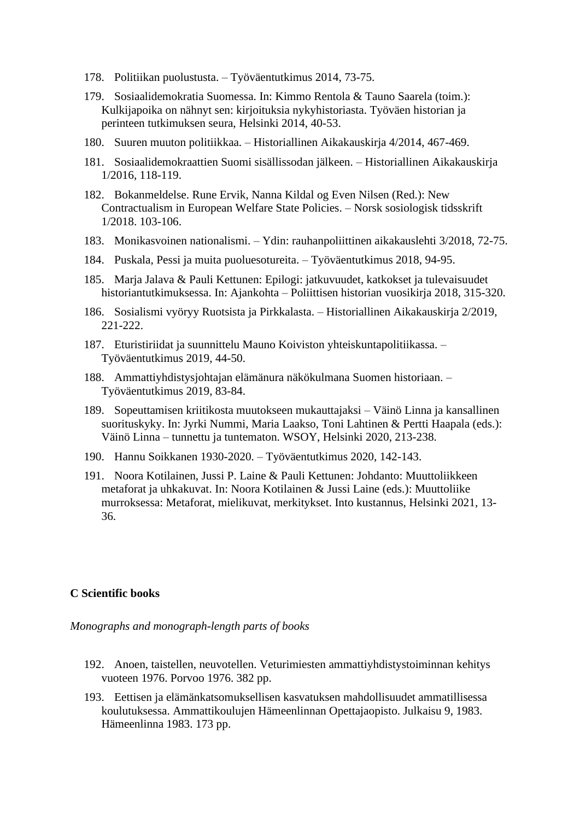- 178. Politiikan puolustusta. Työväentutkimus 2014, 73-75.
- 179. Sosiaalidemokratia Suomessa. In: Kimmo Rentola & Tauno Saarela (toim.): Kulkijapoika on nähnyt sen: kirjoituksia nykyhistoriasta. Työväen historian ja perinteen tutkimuksen seura, Helsinki 2014, 40-53.
- 180. Suuren muuton politiikkaa. Historiallinen Aikakauskirja 4/2014, 467-469.
- 181. Sosiaalidemokraattien Suomi sisällissodan jälkeen. Historiallinen Aikakauskirja 1/2016, 118-119.
- 182. Bokanmeldelse. Rune Ervik, Nanna Kildal og Even Nilsen (Red.): New Contractualism in European Welfare State Policies. – Norsk sosiologisk tidsskrift 1/2018. 103-106.
- 183. Monikasvoinen nationalismi. Ydin: rauhanpoliittinen aikakauslehti 3/2018, 72-75.
- 184. Puskala, Pessi ja muita puoluesotureita. Työväentutkimus 2018, 94-95.
- 185. Marja Jalava & Pauli Kettunen: Epilogi: jatkuvuudet, katkokset ja tulevaisuudet historiantutkimuksessa. In: Ajankohta – Poliittisen historian vuosikirja 2018, 315-320.
- 186. Sosialismi vyöryy Ruotsista ja Pirkkalasta. Historiallinen Aikakauskirja 2/2019, 221-222.
- 187. Eturistiriidat ja suunnittelu Mauno Koiviston yhteiskuntapolitiikassa. Työväentutkimus 2019, 44-50.
- 188. Ammattiyhdistysjohtajan elämänura näkökulmana Suomen historiaan. Työväentutkimus 2019, 83-84.
- 189. Sopeuttamisen kriitikosta muutokseen mukauttajaksi Väinö Linna ja kansallinen suorituskyky. In: Jyrki Nummi, Maria Laakso, Toni Lahtinen & Pertti Haapala (eds.): Väinö Linna – tunnettu ja tuntematon. WSOY, Helsinki 2020, 213-238.
- 190. Hannu Soikkanen 1930-2020. Työväentutkimus 2020, 142-143.
- 191. Noora Kotilainen, Jussi P. Laine & Pauli Kettunen: Johdanto: Muuttoliikkeen metaforat ja uhkakuvat. In: Noora Kotilainen & Jussi Laine (eds.): Muuttoliike murroksessa: Metaforat, mielikuvat, merkitykset. Into kustannus, Helsinki 2021, 13- 36.

#### **C Scientific books**

*Monographs and monograph-length parts of books*

- 192. Anoen, taistellen, neuvotellen. Veturimiesten ammattiyhdistystoiminnan kehitys vuoteen 1976. Porvoo 1976. 382 pp.
- 193. Eettisen ja elämänkatsomuksellisen kasvatuksen mahdollisuudet ammatillisessa koulutuksessa. Ammattikoulujen Hämeenlinnan Opettajaopisto. Julkaisu 9, 1983. Hämeenlinna 1983. 173 pp.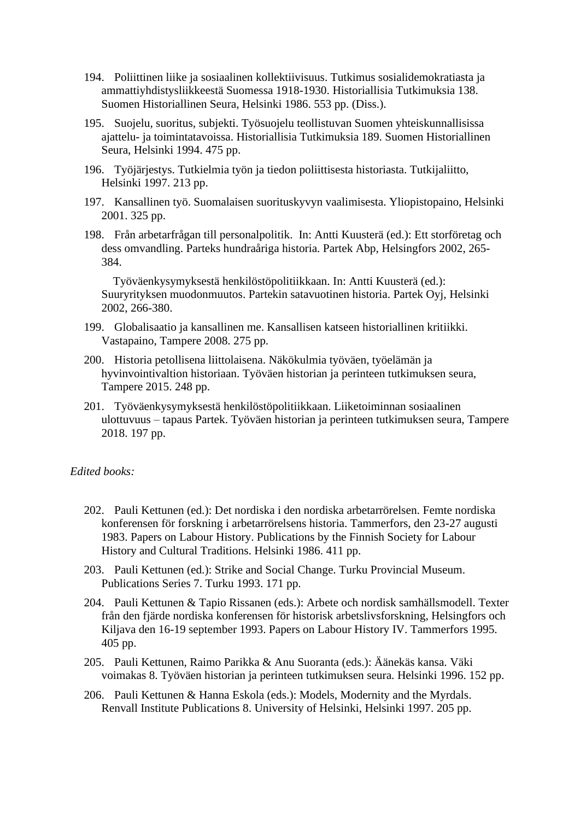- 194. Poliittinen liike ja sosiaalinen kollektiivisuus. Tutkimus sosialidemokratiasta ja ammattiyhdistysliikkeestä Suomessa 1918-1930. Historiallisia Tutkimuksia 138. Suomen Historiallinen Seura, Helsinki 1986. 553 pp. (Diss.).
- 195. Suojelu, suoritus, subjekti. Työsuojelu teollistuvan Suomen yhteiskunnallisissa ajattelu- ja toimintatavoissa. Historiallisia Tutkimuksia 189. Suomen Historiallinen Seura, Helsinki 1994. 475 pp.
- 196. Työjärjestys. Tutkielmia työn ja tiedon poliittisesta historiasta. Tutkijaliitto, Helsinki 1997. 213 pp.
- 197. Kansallinen työ. Suomalaisen suorituskyvyn vaalimisesta. Yliopistopaino, Helsinki 2001. 325 pp.
- 198. Från arbetarfrågan till personalpolitik. In: Antti Kuusterä (ed.): Ett storföretag och dess omvandling. Parteks hundraåriga historia. Partek Abp, Helsingfors 2002, 265- 384.

 Työväenkysymyksestä henkilöstöpolitiikkaan. In: Antti Kuusterä (ed.): Suuryrityksen muodonmuutos. Partekin satavuotinen historia. Partek Oyj, Helsinki 2002, 266-380.

- 199. Globalisaatio ja kansallinen me. Kansallisen katseen historiallinen kritiikki. Vastapaino, Tampere 2008. 275 pp.
- 200. Historia petollisena liittolaisena. Näkökulmia työväen, työelämän ja hyvinvointivaltion historiaan. Työväen historian ja perinteen tutkimuksen seura, Tampere 2015. 248 pp.
- 201. Työväenkysymyksestä henkilöstöpolitiikkaan. Liiketoiminnan sosiaalinen ulottuvuus – tapaus Partek. Työväen historian ja perinteen tutkimuksen seura, Tampere 2018. 197 pp.

#### *Edited books:*

- 202. Pauli Kettunen (ed.): Det nordiska i den nordiska arbetarrörelsen. Femte nordiska konferensen för forskning i arbetarrörelsens historia. Tammerfors, den 23-27 augusti 1983. Papers on Labour History. Publications by the Finnish Society for Labour History and Cultural Traditions. Helsinki 1986. 411 pp.
- 203. Pauli Kettunen (ed.): Strike and Social Change. Turku Provincial Museum. Publications Series 7. Turku 1993. 171 pp.
- 204. Pauli Kettunen & Tapio Rissanen (eds.): Arbete och nordisk samhällsmodell. Texter från den fjärde nordiska konferensen för historisk arbetslivsforskning, Helsingfors och Kiljava den 16-19 september 1993. Papers on Labour History IV. Tammerfors 1995. 405 pp.
- 205. Pauli Kettunen, Raimo Parikka & Anu Suoranta (eds.): Äänekäs kansa. Väki voimakas 8. Työväen historian ja perinteen tutkimuksen seura. Helsinki 1996. 152 pp.
- 206. Pauli Kettunen & Hanna Eskola (eds.): Models, Modernity and the Myrdals. Renvall Institute Publications 8. University of Helsinki, Helsinki 1997. 205 pp.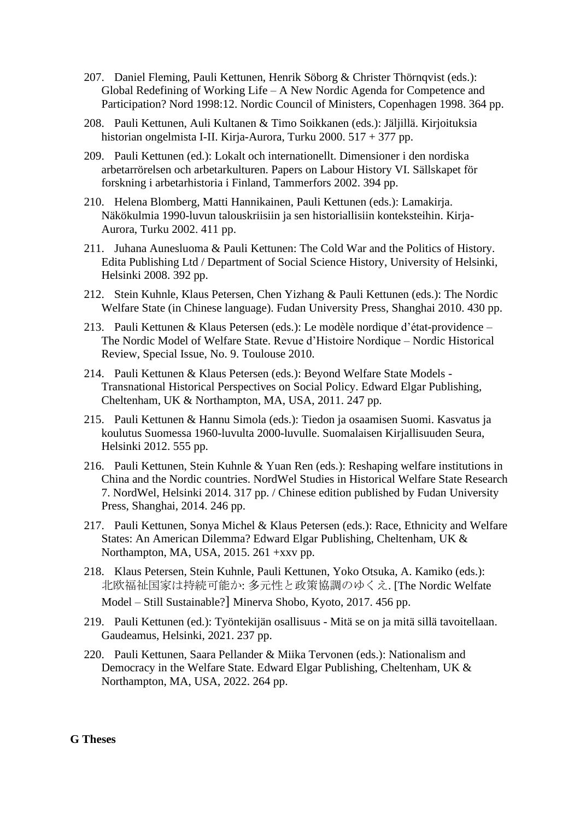- 207. Daniel Fleming, Pauli Kettunen, Henrik Söborg & Christer Thörnqvist (eds.): Global Redefining of Working Life – A New Nordic Agenda for Competence and Participation? Nord 1998:12. Nordic Council of Ministers, Copenhagen 1998. 364 pp.
- 208. Pauli Kettunen, Auli Kultanen & Timo Soikkanen (eds.): Jäljillä. Kirjoituksia historian ongelmista I-II. Kirja-Aurora, Turku 2000. 517 + 377 pp.
- 209. Pauli Kettunen (ed.): Lokalt och internationellt. Dimensioner i den nordiska arbetarrörelsen och arbetarkulturen. Papers on Labour History VI. Sällskapet för forskning i arbetarhistoria i Finland, Tammerfors 2002. 394 pp.
- 210. Helena Blomberg, Matti Hannikainen, Pauli Kettunen (eds.): Lamakirja. Näkökulmia 1990-luvun talouskriisiin ja sen historiallisiin konteksteihin. Kirja-Aurora, Turku 2002. 411 pp.
- 211. Juhana Aunesluoma & Pauli Kettunen: The Cold War and the Politics of History. Edita Publishing Ltd / Department of Social Science History, University of Helsinki, Helsinki 2008. 392 pp.
- 212. Stein Kuhnle, Klaus Petersen, Chen Yizhang & Pauli Kettunen (eds.): The Nordic Welfare State (in Chinese language). Fudan University Press, Shanghai 2010. 430 pp.
- 213. Pauli Kettunen & Klaus Petersen (eds.): Le modèle nordique d'état-providence The Nordic Model of Welfare State. Revue d'Histoire Nordique – Nordic Historical Review, Special Issue, No. 9. Toulouse 2010.
- 214. Pauli Kettunen & Klaus Petersen (eds.): Beyond Welfare State Models Transnational Historical Perspectives on Social Policy. Edward Elgar Publishing, Cheltenham, UK & Northampton, MA, USA, 2011. 247 pp.
- 215. Pauli Kettunen & Hannu Simola (eds.): Tiedon ja osaamisen Suomi. Kasvatus ja koulutus Suomessa 1960-luvulta 2000-luvulle. Suomalaisen Kirjallisuuden Seura, Helsinki 2012. 555 pp.
- 216. Pauli Kettunen, Stein Kuhnle & Yuan Ren (eds.): Reshaping welfare institutions in China and the Nordic countries. NordWel Studies in Historical Welfare State Research 7. NordWel, Helsinki 2014. 317 pp. / Chinese edition published by Fudan University Press, Shanghai, 2014. 246 pp.
- 217. Pauli Kettunen, Sonya Michel & Klaus Petersen (eds.): Race, Ethnicity and Welfare States: An American Dilemma? Edward Elgar Publishing, Cheltenham, UK & Northampton, MA, USA, 2015. 261 +xxv pp.
- 218. Klaus Petersen, Stein Kuhnle, Pauli Kettunen, Yoko Otsuka, A. Kamiko (eds.): 北欧福祉国家は持続可能か: 多元性と政策協調のゆくえ. [The Nordic Welfate Model – Still Sustainable?] [Minerva Shobo,](javascript:void(0);) Kyoto, 2017. 456 pp.
- 219. Pauli Kettunen (ed.): Työntekijän osallisuus Mitä se on ja mitä sillä tavoitellaan. Gaudeamus, Helsinki, 2021. 237 pp.
- 220. Pauli Kettunen, Saara Pellander & Miika Tervonen (eds.): Nationalism and Democracy in the Welfare State. Edward Elgar Publishing, Cheltenham, UK & Northampton, MA, USA, 2022. 264 pp.